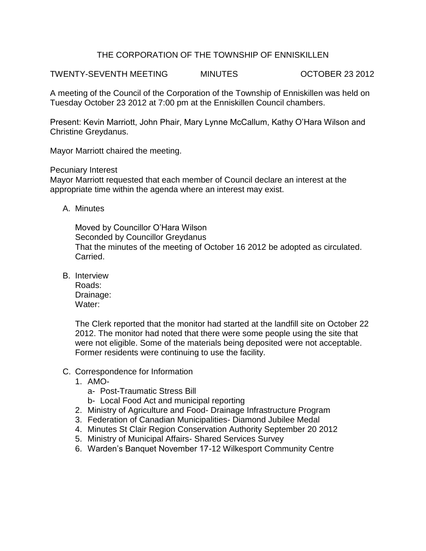## THE CORPORATION OF THE TOWNSHIP OF ENNISKILLEN

TWENTY-SEVENTH MEETING MINUTES OCTOBER 23 2012

A meeting of the Council of the Corporation of the Township of Enniskillen was held on Tuesday October 23 2012 at 7:00 pm at the Enniskillen Council chambers.

Present: Kevin Marriott, John Phair, Mary Lynne McCallum, Kathy O'Hara Wilson and Christine Greydanus.

Mayor Marriott chaired the meeting.

Pecuniary Interest

Mayor Marriott requested that each member of Council declare an interest at the appropriate time within the agenda where an interest may exist.

A. Minutes

Moved by Councillor O'Hara Wilson Seconded by Councillor Greydanus That the minutes of the meeting of October 16 2012 be adopted as circulated. Carried.

B. Interview

Roads: Drainage: Water:

The Clerk reported that the monitor had started at the landfill site on October 22 2012. The monitor had noted that there were some people using the site that were not eligible. Some of the materials being deposited were not acceptable. Former residents were continuing to use the facility.

- C. Correspondence for Information
	- 1. AMO
		- a- Post-Traumatic Stress Bill
		- b- Local Food Act and municipal reporting
	- 2. Ministry of Agriculture and Food- Drainage Infrastructure Program
	- 3. Federation of Canadian Municipalities- Diamond Jubilee Medal
	- 4. Minutes St Clair Region Conservation Authority September 20 2012
	- 5. Ministry of Municipal Affairs- Shared Services Survey
	- 6. Warden's Banquet November 17-12 Wilkesport Community Centre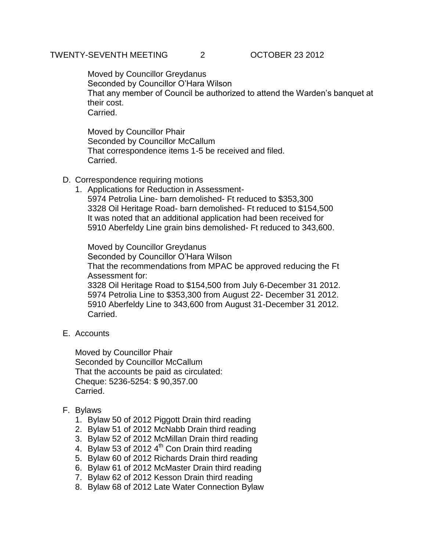Moved by Councillor Greydanus Seconded by Councillor O'Hara Wilson That any member of Council be authorized to attend the Warden's banquet at their cost. Carried.

Moved by Councillor Phair Seconded by Councillor McCallum That correspondence items 1-5 be received and filed. Carried.

- D. Correspondence requiring motions
	- 1. Applications for Reduction in Assessment-5974 Petrolia Line- barn demolished- Ft reduced to \$353,300 3328 Oil Heritage Road- barn demolished- Ft reduced to \$154,500 It was noted that an additional application had been received for 5910 Aberfeldy Line grain bins demolished- Ft reduced to 343,600.

Moved by Councillor Greydanus Seconded by Councillor O'Hara Wilson That the recommendations from MPAC be approved reducing the Ft Assessment for: 3328 Oil Heritage Road to \$154,500 from July 6-December 31 2012.

5974 Petrolia Line to \$353,300 from August 22- December 31 2012. 5910 Aberfeldy Line to 343,600 from August 31-December 31 2012. Carried.

E. Accounts

Moved by Councillor Phair Seconded by Councillor McCallum That the accounts be paid as circulated: Cheque: 5236-5254: \$ 90,357.00 Carried.

- F. Bylaws
	- 1. Bylaw 50 of 2012 Piggott Drain third reading
	- 2. Bylaw 51 of 2012 McNabb Drain third reading
	- 3. Bylaw 52 of 2012 McMillan Drain third reading
	- 4. Bylaw 53 of 2012  $4^{\text{th}}$  Con Drain third reading
	- 5. Bylaw 60 of 2012 Richards Drain third reading
	- 6. Bylaw 61 of 2012 McMaster Drain third reading
	- 7. Bylaw 62 of 2012 Kesson Drain third reading
	- 8. Bylaw 68 of 2012 Late Water Connection Bylaw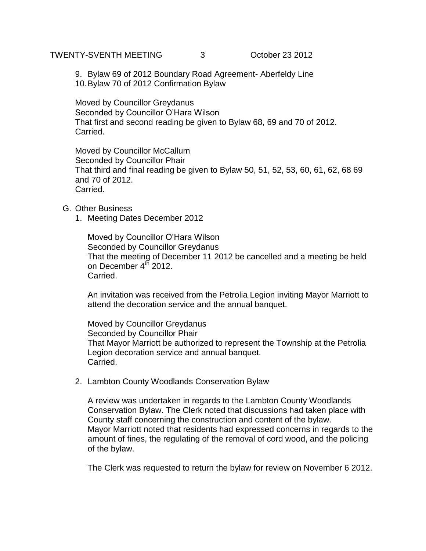TWENTY-SVENTH MEETING 3 October 23 2012

9. Bylaw 69 of 2012 Boundary Road Agreement- Aberfeldy Line 10.Bylaw 70 of 2012 Confirmation Bylaw

Moved by Councillor Greydanus Seconded by Councillor O'Hara Wilson That first and second reading be given to Bylaw 68, 69 and 70 of 2012. Carried.

Moved by Councillor McCallum Seconded by Councillor Phair That third and final reading be given to Bylaw 50, 51, 52, 53, 60, 61, 62, 68 69 and 70 of 2012. Carried.

- G. Other Business
	- 1. Meeting Dates December 2012

Moved by Councillor O'Hara Wilson Seconded by Councillor Greydanus That the meeting of December 11 2012 be cancelled and a meeting be held on December 4<sup>th</sup> 2012. Carried.

An invitation was received from the Petrolia Legion inviting Mayor Marriott to attend the decoration service and the annual banquet.

Moved by Councillor Greydanus Seconded by Councillor Phair That Mayor Marriott be authorized to represent the Township at the Petrolia Legion decoration service and annual banquet. Carried.

2. Lambton County Woodlands Conservation Bylaw

A review was undertaken in regards to the Lambton County Woodlands Conservation Bylaw. The Clerk noted that discussions had taken place with County staff concerning the construction and content of the bylaw. Mayor Marriott noted that residents had expressed concerns in regards to the amount of fines, the regulating of the removal of cord wood, and the policing of the bylaw.

The Clerk was requested to return the bylaw for review on November 6 2012.